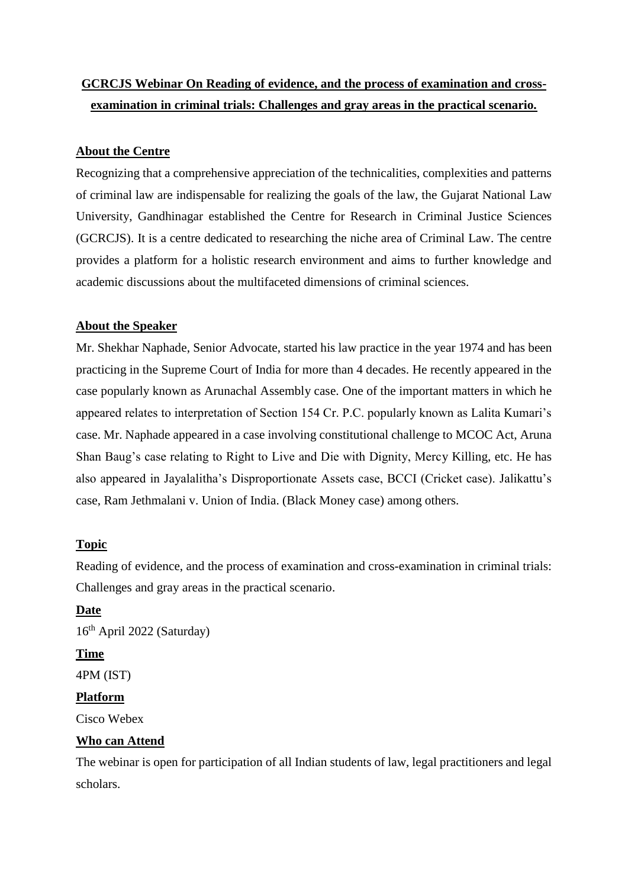# **GCRCJS Webinar On Reading of evidence, and the process of examination and crossexamination in criminal trials: Challenges and gray areas in the practical scenario.**

## **About the Centre**

Recognizing that a comprehensive appreciation of the technicalities, complexities and patterns of criminal law are indispensable for realizing the goals of the law, the Gujarat National Law University, Gandhinagar established the Centre for Research in Criminal Justice Sciences (GCRCJS). It is a centre dedicated to researching the niche area of Criminal Law. The centre provides a platform for a holistic research environment and aims to further knowledge and academic discussions about the multifaceted dimensions of criminal sciences.

#### **About the Speaker**

Mr. Shekhar Naphade, Senior Advocate, started his law practice in the year 1974 and has been practicing in the Supreme Court of India for more than 4 decades. He recently appeared in the case popularly known as Arunachal Assembly case. One of the important matters in which he appeared relates to interpretation of Section 154 Cr. P.C. popularly known as Lalita Kumari's case. Mr. Naphade appeared in a case involving constitutional challenge to MCOC Act, Aruna Shan Baug's case relating to Right to Live and Die with Dignity, Mercy Killing, etc. He has also appeared in Jayalalitha's Disproportionate Assets case, BCCI (Cricket case). Jalikattu's case, Ram Jethmalani v. Union of India. (Black Money case) among others.

## **Topic**

Reading of evidence, and the process of examination and cross-examination in criminal trials: Challenges and gray areas in the practical scenario.

## **Date**

 $16<sup>th</sup>$  April 2022 (Saturday)

## **Time**

4PM (IST)

#### **Platform**

Cisco Webex

#### **Who can Attend**

The webinar is open for participation of all Indian students of law, legal practitioners and legal scholars.